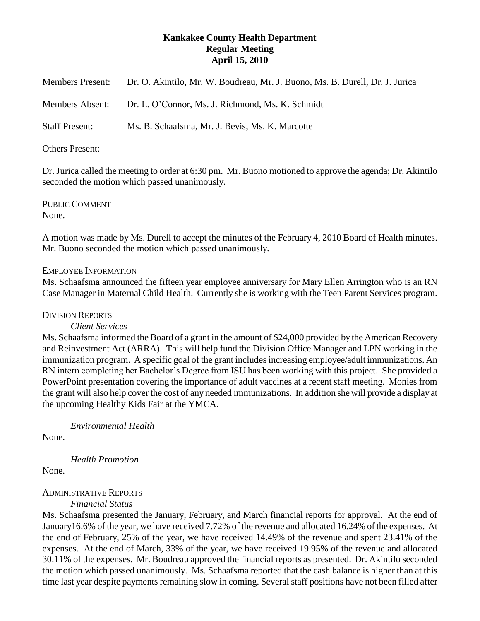# **Kankakee County Health Department Regular Meeting April 15, 2010**

| <b>Members Present:</b> | Dr. O. Akintilo, Mr. W. Boudreau, Mr. J. Buono, Ms. B. Durell, Dr. J. Jurica |
|-------------------------|------------------------------------------------------------------------------|
| <b>Members Absent:</b>  | Dr. L. O'Connor, Ms. J. Richmond, Ms. K. Schmidt                             |
| <b>Staff Present:</b>   | Ms. B. Schaafsma, Mr. J. Bevis, Ms. K. Marcotte                              |

## Others Present:

Dr. Jurica called the meeting to order at 6:30 pm. Mr. Buono motioned to approve the agenda; Dr. Akintilo seconded the motion which passed unanimously.

PUBLIC COMMENT None.

A motion was made by Ms. Durell to accept the minutes of the February 4, 2010 Board of Health minutes. Mr. Buono seconded the motion which passed unanimously.

## EMPLOYEE INFORMATION

Ms. Schaafsma announced the fifteen year employee anniversary for Mary Ellen Arrington who is an RN Case Manager in Maternal Child Health. Currently she is working with the Teen Parent Services program.

#### DIVISION REPORTS

#### *Client Services*

Ms. Schaafsma informed the Board of a grant in the amount of \$24,000 provided by the American Recovery and Reinvestment Act (ARRA). This will help fund the Division Office Manager and LPN working in the immunization program. A specific goal of the grant includes increasing employee/adult immunizations. An RN intern completing her Bachelor's Degree from ISU has been working with this project. She provided a PowerPoint presentation covering the importance of adult vaccines at a recent staff meeting. Monies from the grant will also help cover the cost of any needed immunizations. In addition she will provide a display at the upcoming Healthy Kids Fair at the YMCA.

*Environmental Health*

None.

*Health Promotion*

None.

## ADMINISTRATIVE REPORTS

*Financial Status*

Ms. Schaafsma presented the January, February, and March financial reports for approval. At the end of January16.6% of the year, we have received 7.72% of the revenue and allocated 16.24% of the expenses. At the end of February, 25% of the year, we have received 14.49% of the revenue and spent 23.41% of the expenses. At the end of March, 33% of the year, we have received 19.95% of the revenue and allocated 30.11% of the expenses. Mr. Boudreau approved the financial reports as presented. Dr. Akintilo seconded the motion which passed unanimously. Ms. Schaafsma reported that the cash balance is higher than at this time last year despite payments remaining slow in coming. Several staff positions have not been filled after